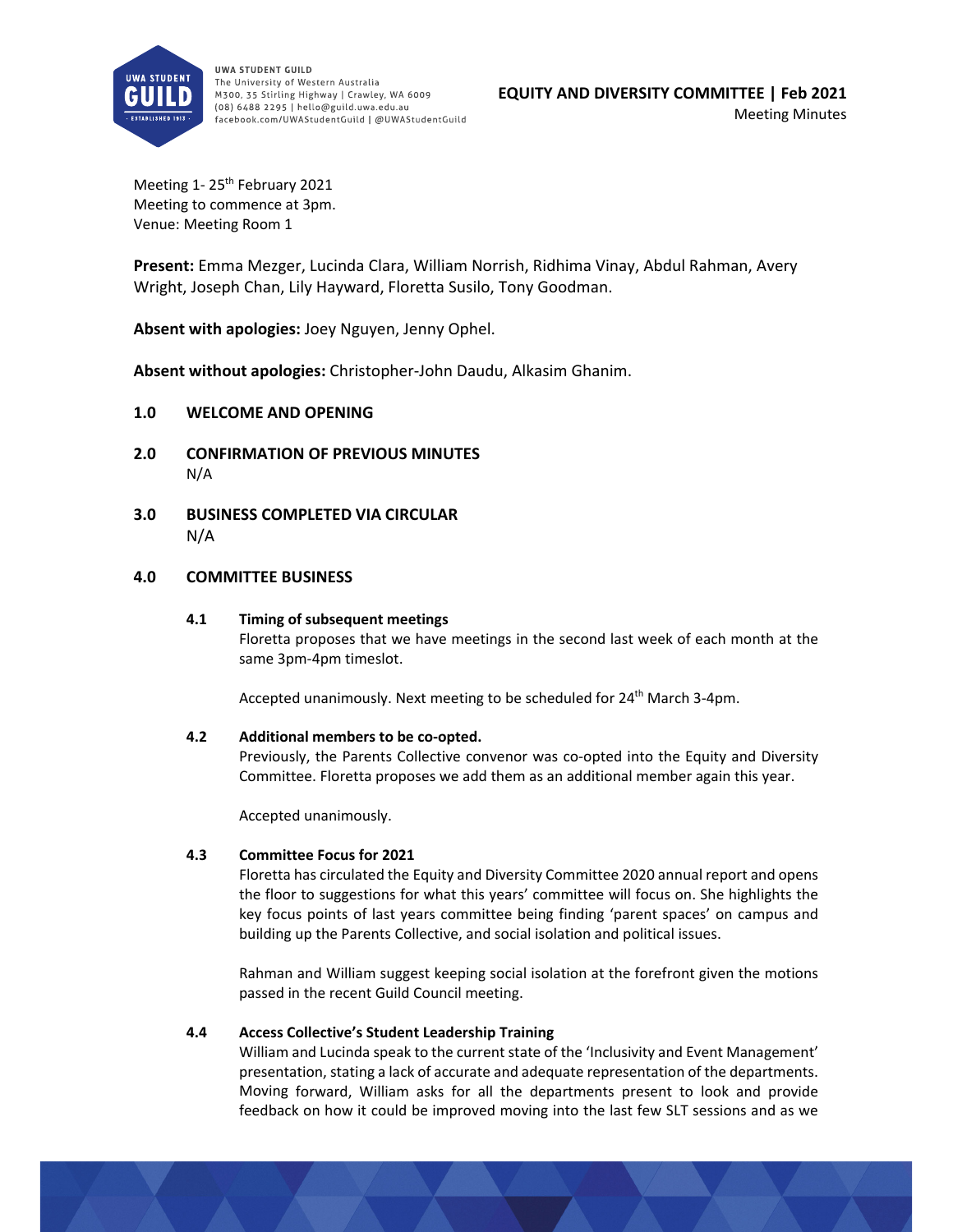

UWA STUDENT GUILD The University of Western Australia M300, 35 Stirling Highway | Crawley, WA 6009 (08) 6488 2295 | hello@guild.uwa.edu.au facebook.com/UWAStudentGuild | @UWAStudentGuild

Meeting 1-25<sup>th</sup> February 2021 Meeting to commence at 3pm. Venue: Meeting Room 1

**Present:** Emma Mezger, Lucinda Clara, William Norrish, Ridhima Vinay, Abdul Rahman, Avery Wright, Joseph Chan, Lily Hayward, Floretta Susilo, Tony Goodman.

**Absent with apologies:** Joey Nguyen, Jenny Ophel.

**Absent without apologies:** Christopher‐John Daudu, Alkasim Ghanim.

# **1.0 WELCOME AND OPENING**

- **2.0 CONFIRMATION OF PREVIOUS MINUTES** N/A
- **3.0 BUSINESS COMPLETED VIA CIRCULAR** N/A

## **4.0 COMMITTEE BUSINESS**

## **4.1 Timing of subsequent meetings**

Floretta proposes that we have meetings in the second last week of each month at the same 3pm‐4pm timeslot.

Accepted unanimously. Next meeting to be scheduled for 24<sup>th</sup> March 3-4pm.

## **4.2 Additional members to be co‐opted.**

Previously, the Parents Collective convenor was co-opted into the Equity and Diversity Committee. Floretta proposes we add them as an additional member again this year.

Accepted unanimously.

## **4.3 Committee Focus for 2021**

Floretta has circulated the Equity and Diversity Committee 2020 annual report and opens the floor to suggestions for what this years' committee will focus on. She highlights the key focus points of last years committee being finding 'parent spaces' on campus and building up the Parents Collective, and social isolation and political issues.

Rahman and William suggest keeping social isolation at the forefront given the motions passed in the recent Guild Council meeting.

## **4.4 Access Collective's Student Leadership Training**

William and Lucinda speak to the current state of the 'Inclusivity and Event Management' presentation, stating a lack of accurate and adequate representation of the departments. Moving forward, William asks for all the departments present to look and provide feedback on how it could be improved moving into the last few SLT sessions and as we